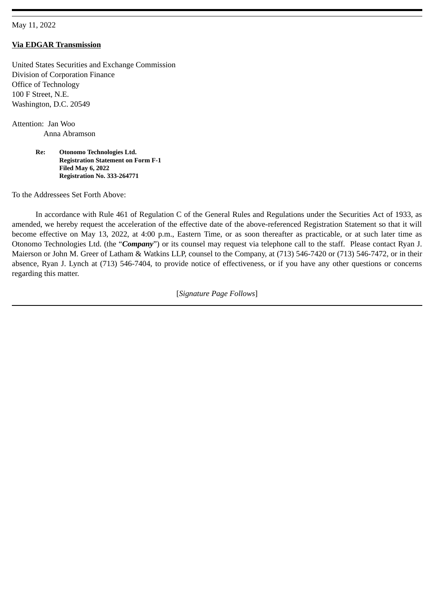## May 11, 2022

## **Via EDGAR Transmission**

United States Securities and Exchange Commission Division of Corporation Finance Office of Technology 100 F Street, N.E. Washington, D.C. 20549

Attention: Jan Woo Anna Abramson

> **Re: Otonomo Technologies Ltd. Registration Statement on Form F-1 Filed May 6, 2022 Registration No. 333-264771**

To the Addressees Set Forth Above:

In accordance with Rule 461 of Regulation C of the General Rules and Regulations under the Securities Act of 1933, as amended, we hereby request the acceleration of the effective date of the above-referenced Registration Statement so that it will become effective on May 13, 2022, at 4:00 p.m., Eastern Time, or as soon thereafter as practicable, or at such later time as Otonomo Technologies Ltd. (the "*Company*") or its counsel may request via telephone call to the staff. Please contact Ryan J. Maierson or John M. Greer of Latham & Watkins LLP, counsel to the Company, at (713) 546-7420 or (713) 546-7472, or in their absence, Ryan J. Lynch at (713) 546-7404, to provide notice of effectiveness, or if you have any other questions or concerns regarding this matter.

[*Signature Page Follows*]